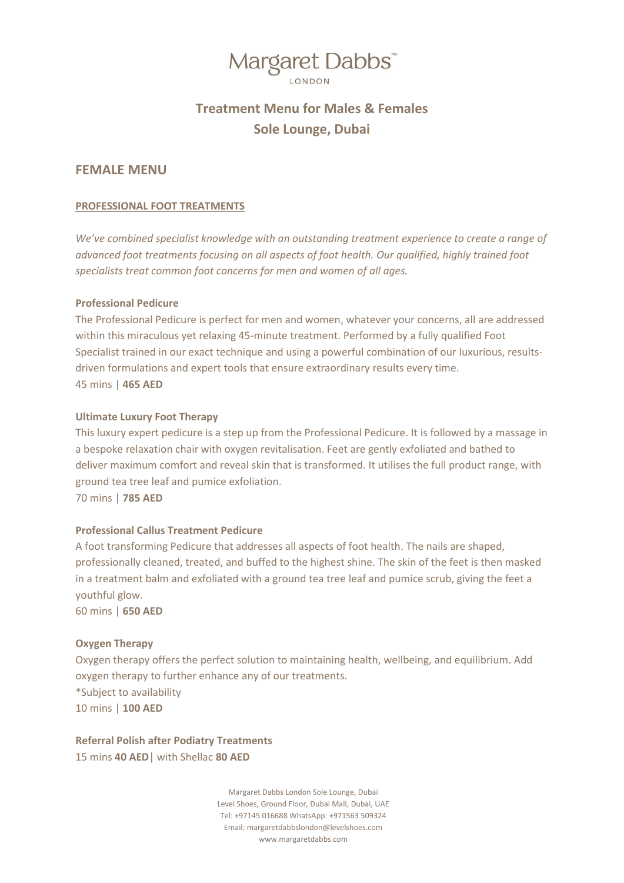### **Treatment Menu for Males & Females Sole Lounge, Dubai**

### **FEMALE MENU**

### **PROFESSIONAL FOOT TREATMENTS**

*We've combined specialist knowledge with an outstanding treatment experience to create a range of advanced foot treatments focusing on all aspects of foot health. Our qualified, highly trained foot specialists treat common foot concerns for men and women of all ages.* 

### **Professional Pedicure**

The Professional Pedicure is perfect for men and women, whatever your concerns, all are addressed within this miraculous yet relaxing 45-minute treatment. Performed by a fully qualified Foot Specialist trained in our exact technique and using a powerful combination of our luxurious, resultsdriven formulations and expert tools that ensure extraordinary results every time. 45 mins | **465 AED**

### **Ultimate Luxury Foot Therapy**

This luxury expert pedicure is a step up from the Professional Pedicure. It is followed by a massage in a bespoke relaxation chair with oxygen revitalisation. Feet are gently exfoliated and bathed to deliver maximum comfort and reveal skin that is transformed. It utilises the full product range, with ground tea tree leaf and pumice exfoliation. 70 mins | **785 AED**

### **Professional Callus Treatment Pedicure**

A foot transforming Pedicure that addresses all aspects of foot health. The nails are shaped, professionally cleaned, treated, and buffed to the highest shine. The skin of the feet is then masked in a treatment balm and exfoliated with a ground tea tree leaf and pumice scrub, giving the feet a youthful glow. 60 mins | **650 AED**

### **Oxygen Therapy**

Oxygen therapy offers the perfect solution to maintaining health, wellbeing, and equilibrium. Add oxygen therapy to further enhance any of our treatments. \*Subject to availability 10 mins | **100 AED**

**Referral Polish after Podiatry Treatments** 15 mins **40 AED**| with Shellac **80 AED**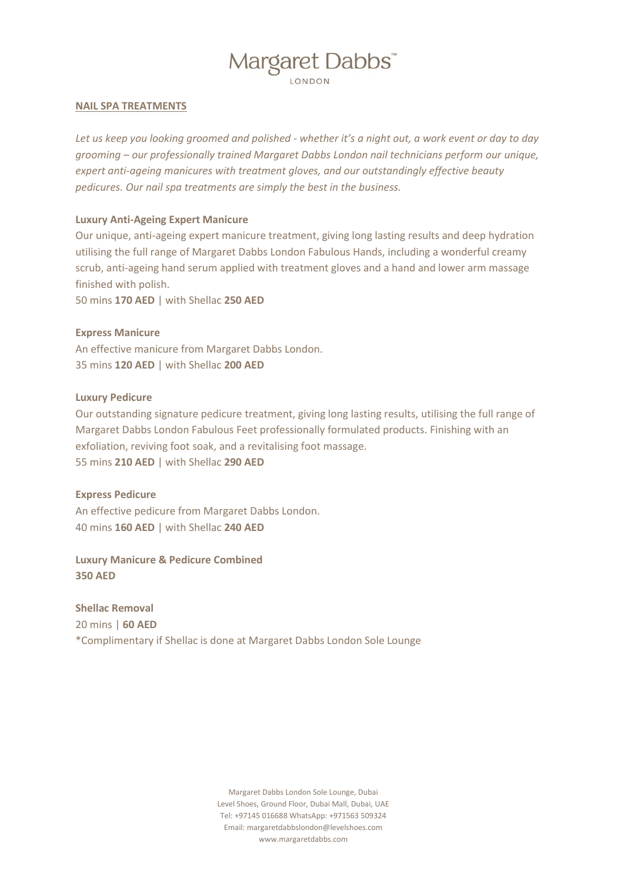### **NAIL SPA TREATMENTS**

*Let us keep you looking groomed and polished - whether it's a night out, a work event or day to day grooming – our professionally trained Margaret Dabbs London nail technicians perform our unique, expert anti-ageing manicures with treatment gloves, and our outstandingly effective beauty pedicures. Our nail spa treatments are simply the best in the business.*

### **Luxury Anti-Ageing Expert Manicure**

Our unique, anti-ageing expert manicure treatment, giving long lasting results and deep hydration utilising the full range of Margaret Dabbs London Fabulous Hands, including a wonderful creamy scrub, anti-ageing hand serum applied with treatment gloves and a hand and lower arm massage finished with polish.

50 mins **170 AED** | with Shellac **250 AED**

### **Express Manicure**

An effective manicure from Margaret Dabbs London. 35 mins **120 AED** | with Shellac **200 AED**

#### **Luxury Pedicure**

Our outstanding signature pedicure treatment, giving long lasting results, utilising the full range of Margaret Dabbs London Fabulous Feet professionally formulated products. Finishing with an exfoliation, reviving foot soak, and a revitalising foot massage. 55 mins **210 AED** | with Shellac **290 AED**

### **Express Pedicure**

An effective pedicure from Margaret Dabbs London. 40 mins **160 AED** | with Shellac **240 AED**

**Luxury Manicure & Pedicure Combined 350 AED**

**Shellac Removal** 

20 mins | **60 AED**

\*Complimentary if Shellac is done at Margaret Dabbs London Sole Lounge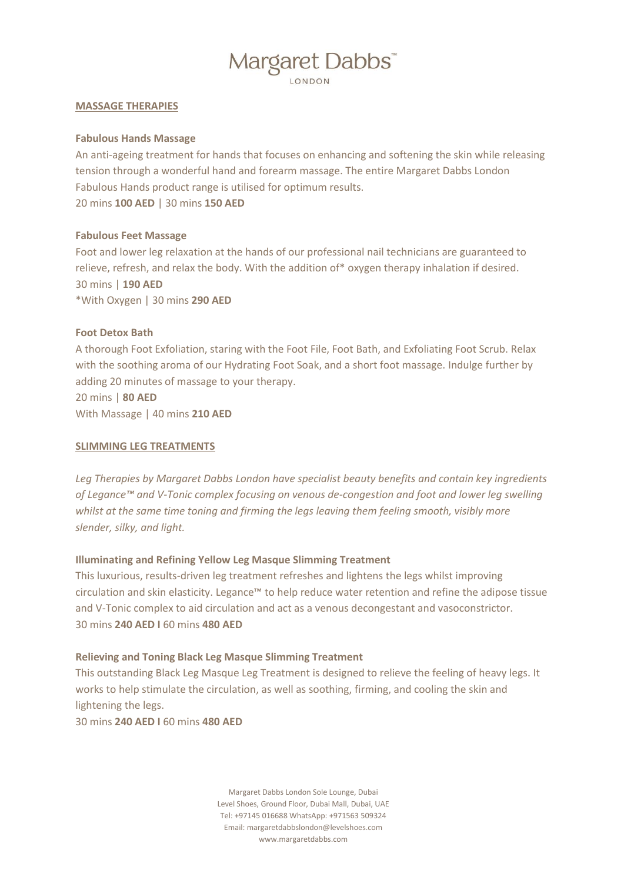### **MASSAGE THERAPIES**

### **Fabulous Hands Massage**

An anti-ageing treatment for hands that focuses on enhancing and softening the skin while releasing tension through a wonderful hand and forearm massage. The entire Margaret Dabbs London Fabulous Hands product range is utilised for optimum results. 20 mins **100 AED** | 30 mins **150 AED**

### **Fabulous Feet Massage**

Foot and lower leg relaxation at the hands of our professional nail technicians are guaranteed to relieve, refresh, and relax the body. With the addition of\* oxygen therapy inhalation if desired. 30 mins | **190 AED** \*With Oxygen | 30 mins **290 AED**

### **Foot Detox Bath**

A thorough Foot Exfoliation, staring with the Foot File, Foot Bath, and Exfoliating Foot Scrub. Relax with the soothing aroma of our Hydrating Foot Soak, and a short foot massage. Indulge further by adding 20 minutes of massage to your therapy.

20 mins | **80 AED** With Massage | 40 mins **210 AED**

### **SLIMMING LEG TREATMENTS**

*Leg Therapies by Margaret Dabbs London have specialist beauty benefits and contain key ingredients of Legance™ and V-Tonic complex focusing on venous de-congestion and foot and lower leg swelling whilst at the same time toning and firming the legs leaving them feeling smooth, visibly more slender, silky, and light.*

### **Illuminating and Refining Yellow Leg Masque Slimming Treatment**

This luxurious, results-driven leg treatment refreshes and lightens the legs whilst improving circulation and skin elasticity. Legance™ to help reduce water retention and refine the adipose tissue and V-Tonic complex to aid circulation and act as a venous decongestant and vasoconstrictor. 30 mins **240 AED I** 60 mins **480 AED**

#### **Relieving and Toning Black Leg Masque Slimming Treatment**

This outstanding Black Leg Masque Leg Treatment is designed to relieve the feeling of heavy legs. It works to help stimulate the circulation, as well as soothing, firming, and cooling the skin and lightening the legs.

30 mins **240 AED I** 60 mins **480 AED**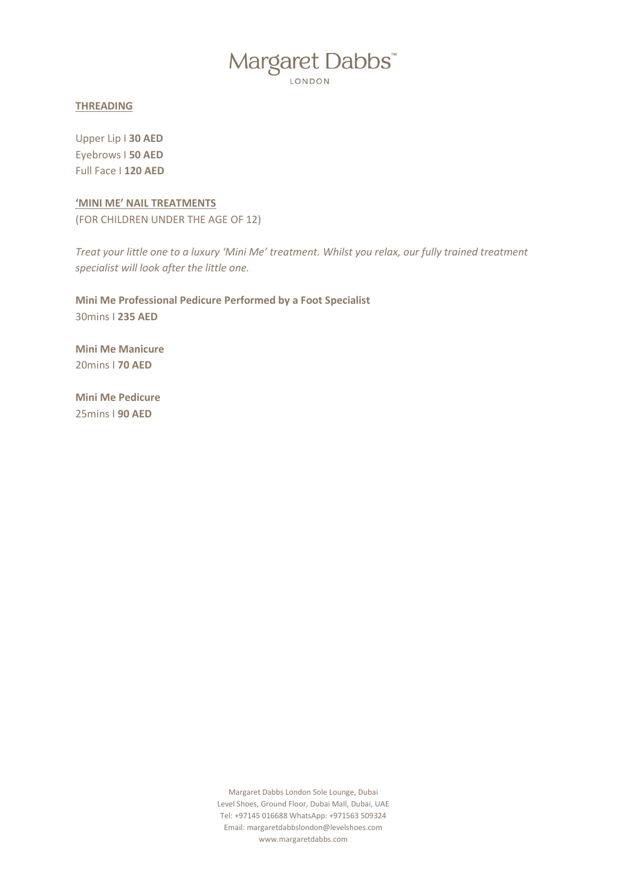LONDON

### **THREADING**

Upper Lip I **30 AED** Eyebrows I **50 AED** Full Face I **120 AED**

**'MINI ME' NAIL TREATMENTS** (FOR CHILDREN UNDER THE AGE OF 12)

*Treat your little one to a luxury 'Mini Me' treatment. Whilst you relax, our fully trained treatment specialist will look after the little one.* 

**Mini Me Professional Pedicure Performed by a Foot Specialist** 30mins I **235 AED**

**Mini Me Manicure** 20mins I **70 AED**

**Mini Me Pedicure** 25mins I **90 AED**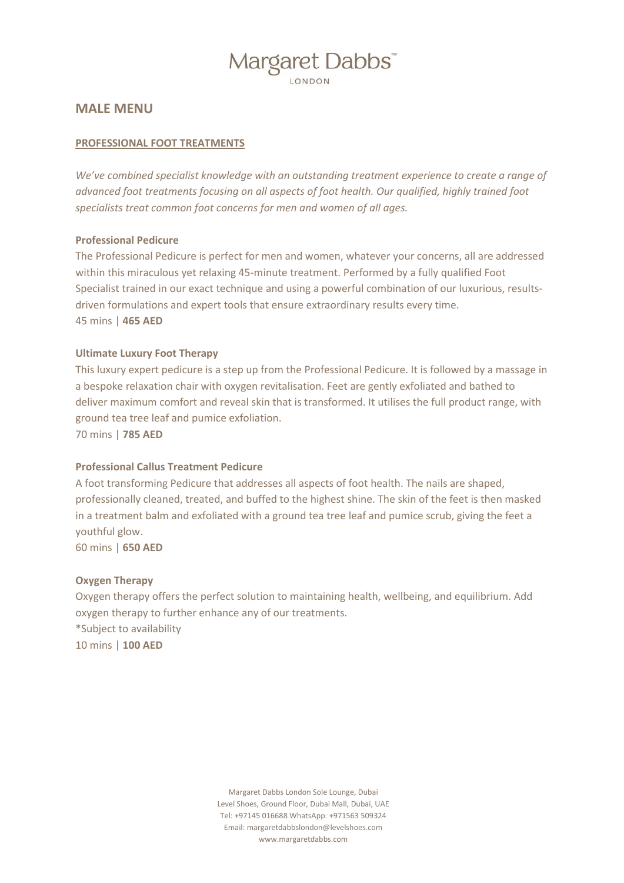### **MALE MENU**

### **PROFESSIONAL FOOT TREATMENTS**

*We've combined specialist knowledge with an outstanding treatment experience to create a range of advanced foot treatments focusing on all aspects of foot health. Our qualified, highly trained foot specialists treat common foot concerns for men and women of all ages.* 

### **Professional Pedicure**

The Professional Pedicure is perfect for men and women, whatever your concerns, all are addressed within this miraculous yet relaxing 45-minute treatment. Performed by a fully qualified Foot Specialist trained in our exact technique and using a powerful combination of our luxurious, resultsdriven formulations and expert tools that ensure extraordinary results every time. 45 mins | **465 AED**

### **Ultimate Luxury Foot Therapy**

This luxury expert pedicure is a step up from the Professional Pedicure. It is followed by a massage in a bespoke relaxation chair with oxygen revitalisation. Feet are gently exfoliated and bathed to deliver maximum comfort and reveal skin that is transformed. It utilises the full product range, with ground tea tree leaf and pumice exfoliation.

70 mins | **785 AED**

### **Professional Callus Treatment Pedicure**

A foot transforming Pedicure that addresses all aspects of foot health. The nails are shaped, professionally cleaned, treated, and buffed to the highest shine. The skin of the feet is then masked in a treatment balm and exfoliated with a ground tea tree leaf and pumice scrub, giving the feet a youthful glow.

60 mins | **650 AED**

### **Oxygen Therapy**

Oxygen therapy offers the perfect solution to maintaining health, wellbeing, and equilibrium. Add oxygen therapy to further enhance any of our treatments. \*Subject to availability 10 mins | **100 AED**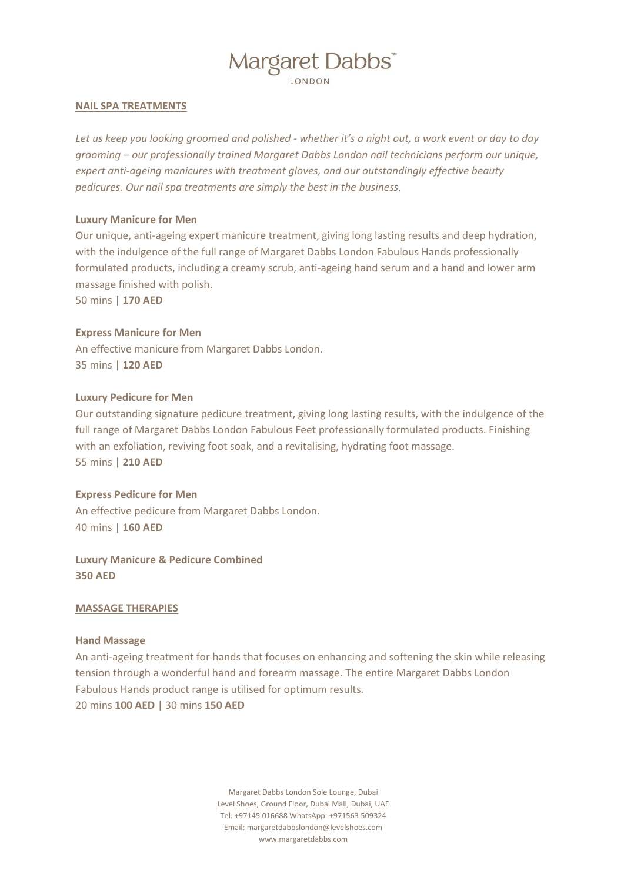### **NAIL SPA TREATMENTS**

*Let us keep you looking groomed and polished - whether it's a night out, a work event or day to day grooming – our professionally trained Margaret Dabbs London nail technicians perform our unique, expert anti-ageing manicures with treatment gloves, and our outstandingly effective beauty pedicures. Our nail spa treatments are simply the best in the business.*

### **Luxury Manicure for Men**

Our unique, anti-ageing expert manicure treatment, giving long lasting results and deep hydration, with the indulgence of the full range of Margaret Dabbs London Fabulous Hands professionally formulated products, including a creamy scrub, anti-ageing hand serum and a hand and lower arm massage finished with polish.

50 mins | **170 AED**

### **Express Manicure for Men**

An effective manicure from Margaret Dabbs London. 35 mins | **120 AED**

### **Luxury Pedicure for Men**

Our outstanding signature pedicure treatment, giving long lasting results, with the indulgence of the full range of Margaret Dabbs London Fabulous Feet professionally formulated products. Finishing with an exfoliation, reviving foot soak, and a revitalising, hydrating foot massage. 55 mins | **210 AED**

#### **Express Pedicure for Men**

An effective pedicure from Margaret Dabbs London. 40 mins | **160 AED**

**Luxury Manicure & Pedicure Combined 350 AED**

### **MASSAGE THERAPIES**

#### **Hand Massage**

An anti-ageing treatment for hands that focuses on enhancing and softening the skin while releasing tension through a wonderful hand and forearm massage. The entire Margaret Dabbs London Fabulous Hands product range is utilised for optimum results. 20 mins **100 AED** | 30 mins **150 AED**